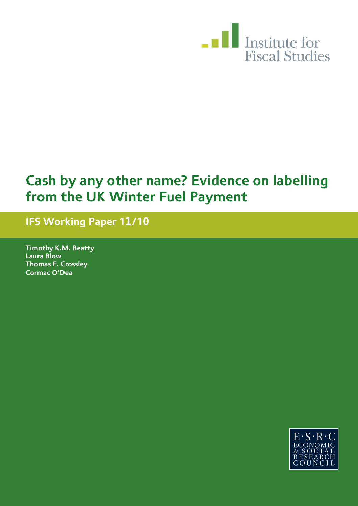

# **Cash by any other name? Evidence on labelling from the UK Winter Fuel Payment**

# **IFS Working Paper 11/10**

**Timothy K.M. Beatty Laura Blow Thomas F. Crossley Cormac O'Dea**

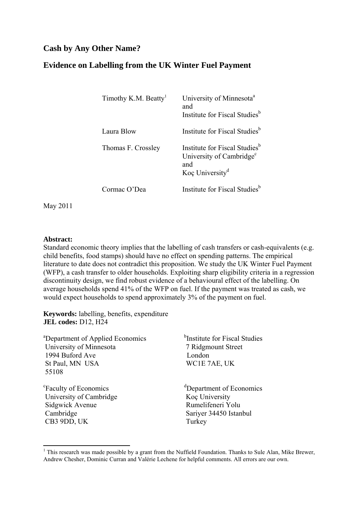# **Cash by Any Other Name?**

# **Evidence on Labelling from the UK Winter Fuel Payment**

| Timothy K.M. Beatty <sup>1</sup> | University of Minnesota <sup>a</sup><br>and<br>Institute for Fiscal Studies <sup>b</sup>                                |
|----------------------------------|-------------------------------------------------------------------------------------------------------------------------|
| Laura Blow                       | Institute for Fiscal Studies <sup>b</sup>                                                                               |
| Thomas F. Crossley               | Institute for Fiscal Studies <sup>b</sup><br>University of Cambridge <sup>c</sup><br>and<br>Koc University <sup>d</sup> |
| ormac O'Dea                      | Institute for Fiscal Studies <sup>b</sup>                                                                               |

May 2011

#### **Abstract:**

Standard economic theory implies that the labelling of cash transfers or cash-equivalents (e.g. child benefits, food stamps) should have no effect on spending patterns. The empirical literature to date does not contradict this proposition. We study the UK Winter Fuel Payment (WFP), a cash transfer to older households. Exploiting sharp eligibility criteria in a regression discontinuity design, we find robust evidence of a behavioural effect of the labelling. On average households spend 41% of the WFP on fuel. If the payment was treated as cash, we would expect households to spend approximately 3% of the payment on fuel.

**Keywords:** labelling, benefits, expenditure **JEL codes:** D12, H24

| <sup>a</sup> Department of Applied Economics | <sup>b</sup> Institute for Fiscal Studies |
|----------------------------------------------|-------------------------------------------|
| University of Minnesota                      | 7 Ridgmount Street                        |
| 1994 Buford Ave                              | London                                    |
| St Paul, MN USA                              | WC1E 7AE, UK                              |
| 55108                                        |                                           |
| <sup>c</sup> Faculty of Economics            | <sup>d</sup> Department of Economics      |
| University of Cambridge                      | Koç University                            |
| Sidgwick Avenue                              | Rumelifeneri Yolu                         |
| Cambridge                                    | Sariyer 34450 Istanbul                    |
| CB3 9DD, UK                                  | Turkey                                    |
|                                              |                                           |

<sup>&</sup>lt;sup>1</sup> This research was made possible by a grant from the Nuffield Foundation. Thanks to Sule Alan, Mike Brewer, Andrew Chesher, Dominic Curran and Valérie Lechene for helpful comments. All errors are our own.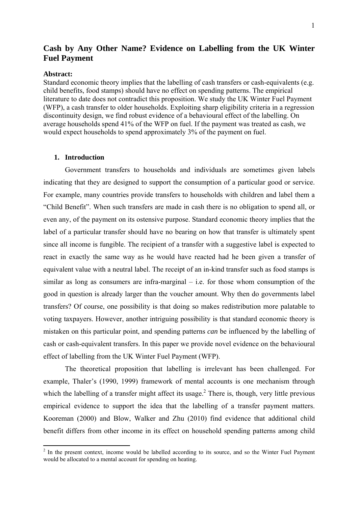# **Cash by Any Other Name? Evidence on Labelling from the UK Winter Fuel Payment**

#### **Abstract:**

Standard economic theory implies that the labelling of cash transfers or cash-equivalents (e.g. child benefits, food stamps) should have no effect on spending patterns. The empirical literature to date does not contradict this proposition. We study the UK Winter Fuel Payment (WFP), a cash transfer to older households. Exploiting sharp eligibility criteria in a regression discontinuity design, we find robust evidence of a behavioural effect of the labelling. On average households spend 41% of the WFP on fuel. If the payment was treated as cash, we would expect households to spend approximately 3% of the payment on fuel.

#### **1. Introduction**

Government transfers to households and individuals are sometimes given labels indicating that they are designed to support the consumption of a particular good or service. For example, many countries provide transfers to households with children and label them a "Child Benefit". When such transfers are made in cash there is no obligation to spend all, or even any, of the payment on its ostensive purpose. Standard economic theory implies that the label of a particular transfer should have no bearing on how that transfer is ultimately spent since all income is fungible. The recipient of a transfer with a suggestive label is expected to react in exactly the same way as he would have reacted had he been given a transfer of equivalent value with a neutral label. The receipt of an in-kind transfer such as food stamps is similar as long as consumers are infra-marginal – i.e. for those whom consumption of the good in question is already larger than the voucher amount. Why then do governments label transfers? Of course, one possibility is that doing so makes redistribution more palatable to voting taxpayers. However, another intriguing possibility is that standard economic theory is mistaken on this particular point, and spending patterns *can* be influenced by the labelling of cash or cash-equivalent transfers. In this paper we provide novel evidence on the behavioural effect of labelling from the UK Winter Fuel Payment (WFP).

The theoretical proposition that labelling is irrelevant has been challenged. For example, Thaler's (1990, 1999) framework of mental accounts is one mechanism through which the labelling of a transfer might affect its usage.<sup>2</sup> There is, though, very little previous empirical evidence to support the idea that the labelling of a transfer payment matters. Kooreman (2000) and Blow, Walker and Zhu (2010) find evidence that additional child benefit differs from other income in its effect on household spending patterns among child

<sup>&</sup>lt;sup>2</sup> In the present context, income would be labelled according to its source, and so the Winter Fuel Payment would be allocated to a mental account for spending on heating.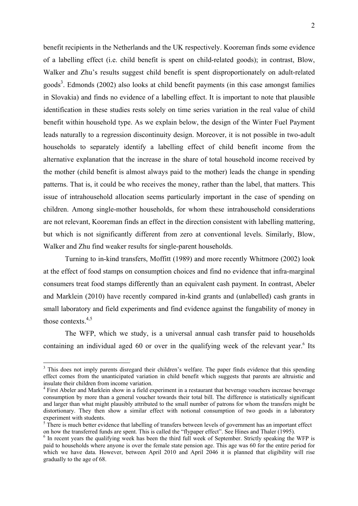benefit recipients in the Netherlands and the UK respectively. Kooreman finds some evidence of a labelling effect (i.e. child benefit is spent on child-related goods); in contrast, Blow, Walker and Zhu's results suggest child benefit is spent disproportionately on adult-related goods<sup>3</sup>. Edmonds (2002) also looks at child benefit payments (in this case amongst families in Slovakia) and finds no evidence of a labelling effect. It is important to note that plausible identification in these studies rests solely on time series variation in the real value of child benefit within household type. As we explain below, the design of the Winter Fuel Payment leads naturally to a regression discontinuity design. Moreover, it is not possible in two-adult households to separately identify a labelling effect of child benefit income from the alternative explanation that the increase in the share of total household income received by the mother (child benefit is almost always paid to the mother) leads the change in spending patterns. That is, it could be who receives the money, rather than the label, that matters. This issue of intrahousehold allocation seems particularly important in the case of spending on children. Among single-mother households, for whom these intrahousehold considerations are not relevant, Kooreman finds an effect in the direction consistent with labelling mattering, but which is not significantly different from zero at conventional levels. Similarly, Blow, Walker and Zhu find weaker results for single-parent households.

Turning to in-kind transfers, Moffitt (1989) and more recently Whitmore (2002) look at the effect of food stamps on consumption choices and find no evidence that infra-marginal consumers treat food stamps differently than an equivalent cash payment. In contrast, Abeler and Marklein (2010) have recently compared in-kind grants and (unlabelled) cash grants in small laboratory and field experiments and find evidence against the fungability of money in those contexts. $4,5$ 

The WFP, which we study, is a universal annual cash transfer paid to households containing an individual aged  $60$  or over in the qualifying week of the relevant year.<sup>6</sup> Its

 $\overline{\phantom{a}}$ 

<sup>&</sup>lt;sup>3</sup> This does not imply parents disregard their children's welfare. The paper finds evidence that this spending effect comes from the unanticipated variation in child benefit which suggests that parents are altruistic and insulate their children from income variation.

<sup>&</sup>lt;sup>4</sup> First Abeler and Marklein show in a field experiment in a restaurant that beverage vouchers increase beverage consumption by more than a general voucher towards their total bill. The difference is statistically significant and larger than what might plausibly attributed to the small number of patrons for whom the transfers might be distortionary. They then show a similar effect with notional consumption of two goods in a laboratory experiment with students.

 $5$  There is much better evidence that labelling of transfers between levels of government has an important effect on how the transferred funds are spent. This is called the "flypaper effect". See Hines and Thaler (1995).

 $\delta$  In recent years the qualifying week has been the third full week of September. Strictly speaking the WFP is paid to households where anyone is over the female state pension age. This age was 60 for the entire period for which we have data. However, between April 2010 and April 2046 it is planned that eligibility will rise gradually to the age of 68.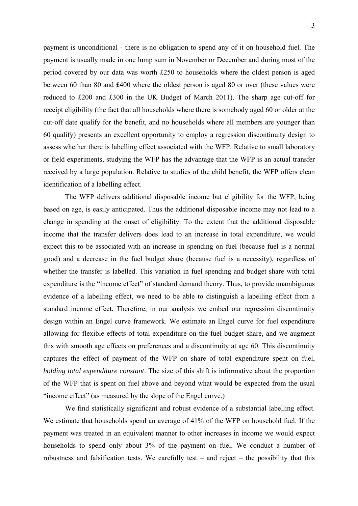payment is unconditional - there is no obligation to spend any of it on household fuel. The payment is usually made in one lump sum in November or December and during most of the period covered by our data was worth £250 to households where the oldest person is aged between 60 than 80 and £400 where the oldest person is aged 80 or over (these values were reduced to £200 and £300 in the UK Budget of March 2011). The sharp age cut-off for receipt eligibility (the fact that all households where there is somebody aged 60 or older at the cut-off date qualify for the benefit, and no households where all members are younger than 60 qualify) presents an excellent opportunity to employ a regression discontinuity design to assess whether there is labelling effect associated with the WFP. Relative to small laboratory or field experiments, studying the WFP has the advantage that the WFP is an actual transfer received by a large population. Relative to studies of the child benefit, the WFP offers clean identification of a labelling effect.

The WFP delivers additional disposable income but eligibility for the WFP, being based on age, is easily anticipated. Thus the additional disposable income may not lead to a change in spending at the onset of eligibility. To the extent that the additional disposable income that the transfer delivers does lead to an increase in total expenditure, we would expect this to be associated with an increase in spending on fuel (because fuel is a normal good) and a decrease in the fuel budget share (because fuel is a necessity), regardless of whether the transfer is labelled. This variation in fuel spending and budget share with total expenditure is the "income effect" of standard demand theory. Thus, to provide unambiguous evidence of a labelling effect, we need to be able to distinguish a labelling effect from a standard income effect. Therefore, in our analysis we embed our regression discontinuity design within an Engel curve framework. We estimate an Engel curve for fuel expenditure allowing for flexible effects of total expenditure on the fuel budget share, and we augment this with smooth age effects on preferences and a discontinuity at age 60. This discontinuity captures the effect of payment of the WFP on share of total expenditure spent on fuel, *holding total expenditure constant*. The size of this shift is informative about the proportion of the WFP that is spent on fuel above and beyond what would be expected from the usual "income effect" (as measured by the slope of the Engel curve.)

We find statistically significant and robust evidence of a substantial labelling effect. We estimate that households spend an average of 41% of the WFP on household fuel. If the payment was treated in an equivalent manner to other increases in income we would expect households to spend only about 3% of the payment on fuel. We conduct a number of robustness and falsification tests. We carefully test – and reject – the possibility that this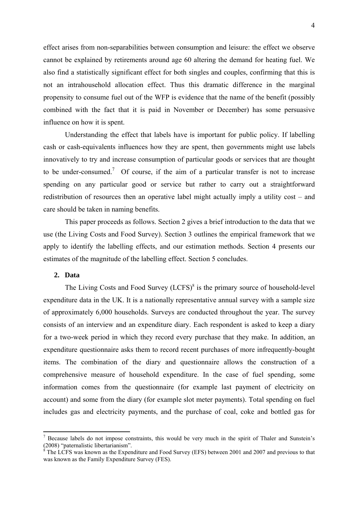effect arises from non-separabilities between consumption and leisure: the effect we observe cannot be explained by retirements around age 60 altering the demand for heating fuel. We also find a statistically significant effect for both singles and couples, confirming that this is not an intrahousehold allocation effect. Thus this dramatic difference in the marginal propensity to consume fuel out of the WFP is evidence that the name of the benefit (possibly combined with the fact that it is paid in November or December) has some persuasive influence on how it is spent.

Understanding the effect that labels have is important for public policy. If labelling cash or cash-equivalents influences how they are spent, then governments might use labels innovatively to try and increase consumption of particular goods or services that are thought to be under-consumed.<sup>7</sup> Of course, if the aim of a particular transfer is not to increase spending on any particular good or service but rather to carry out a straightforward redistribution of resources then an operative label might actually imply a utility cost – and care should be taken in naming benefits.

This paper proceeds as follows. Section 2 gives a brief introduction to the data that we use (the Living Costs and Food Survey). Section 3 outlines the empirical framework that we apply to identify the labelling effects, and our estimation methods. Section 4 presents our estimates of the magnitude of the labelling effect. Section 5 concludes.

### **2. Data**

 $\overline{\phantom{a}}$ 

The Living Costs and Food Survey (LCFS)<sup>8</sup> is the primary source of household-level expenditure data in the UK. It is a nationally representative annual survey with a sample size of approximately 6,000 households. Surveys are conducted throughout the year. The survey consists of an interview and an expenditure diary. Each respondent is asked to keep a diary for a two-week period in which they record every purchase that they make. In addition, an expenditure questionnaire asks them to record recent purchases of more infrequently-bought items. The combination of the diary and questionnaire allows the construction of a comprehensive measure of household expenditure. In the case of fuel spending, some information comes from the questionnaire (for example last payment of electricity on account) and some from the diary (for example slot meter payments). Total spending on fuel includes gas and electricity payments, and the purchase of coal, coke and bottled gas for

 $<sup>7</sup>$  Because labels do not impose constraints, this would be very much in the spirit of Thaler and Sunstein's</sup> (2008) "paternalistic libertarianism".<br><sup>8</sup> The LCES was known as the Expen

The LCFS was known as the Expenditure and Food Survey (EFS) between 2001 and 2007 and previous to that was known as the Family Expenditure Survey (FES).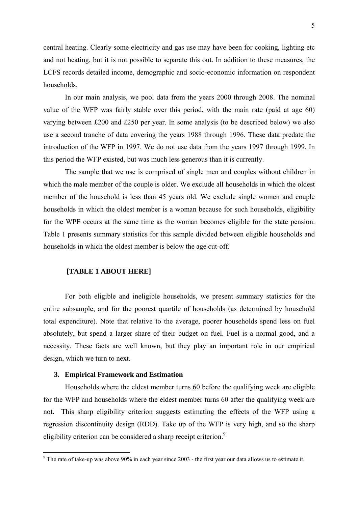central heating. Clearly some electricity and gas use may have been for cooking, lighting etc and not heating, but it is not possible to separate this out. In addition to these measures, the LCFS records detailed income, demographic and socio-economic information on respondent households.

In our main analysis, we pool data from the years 2000 through 2008. The nominal value of the WFP was fairly stable over this period, with the main rate (paid at age 60) varying between £200 and £250 per year. In some analysis (to be described below) we also use a second tranche of data covering the years 1988 through 1996. These data predate the introduction of the WFP in 1997. We do not use data from the years 1997 through 1999. In this period the WFP existed, but was much less generous than it is currently.

The sample that we use is comprised of single men and couples without children in which the male member of the couple is older. We exclude all households in which the oldest member of the household is less than 45 years old. We exclude single women and couple households in which the oldest member is a woman because for such households, eligibility for the WPF occurs at the same time as the woman becomes eligible for the state pension. Table 1 presents summary statistics for this sample divided between eligible households and households in which the oldest member is below the age cut-off.

#### **[TABLE 1 ABOUT HERE]**

For both eligible and ineligible households, we present summary statistics for the entire subsample, and for the poorest quartile of households (as determined by household total expenditure). Note that relative to the average, poorer households spend less on fuel absolutely, but spend a larger share of their budget on fuel. Fuel is a normal good, and a necessity. These facts are well known, but they play an important role in our empirical design, which we turn to next.

#### **3. Empirical Framework and Estimation**

Households where the eldest member turns 60 before the qualifying week are eligible for the WFP and households where the eldest member turns 60 after the qualifying week are not. This sharp eligibility criterion suggests estimating the effects of the WFP using a regression discontinuity design (RDD). Take up of the WFP is very high, and so the sharp eligibility criterion can be considered a sharp receipt criterion.<sup>9</sup>

<sup>&</sup>lt;sup>9</sup> The rate of take-up was above 90% in each year since 2003 - the first year our data allows us to estimate it.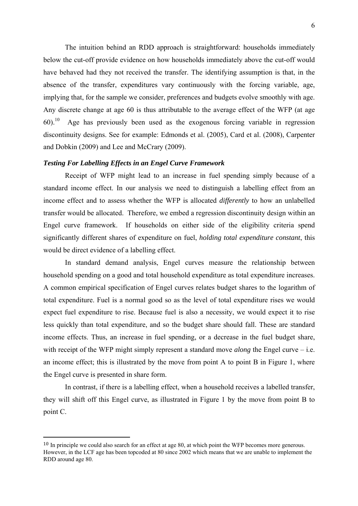The intuition behind an RDD approach is straightforward: households immediately below the cut-off provide evidence on how households immediately above the cut-off would have behaved had they not received the transfer. The identifying assumption is that, in the absence of the transfer, expenditures vary continuously with the forcing variable, age, implying that, for the sample we consider, preferences and budgets evolve smoothly with age. Any discrete change at age 60 is thus attributable to the average effect of the WFP (at age  $60$ .<sup>10</sup> Age has previously been used as the exogenous forcing variable in regression discontinuity designs. See for example: Edmonds et al. (2005), Card et al. (2008), Carpenter and Dobkin (2009) and Lee and McCrary (2009).

#### *Testing For Labelling Effects in an Engel Curve Framework*

Receipt of WFP might lead to an increase in fuel spending simply because of a standard income effect. In our analysis we need to distinguish a labelling effect from an income effect and to assess whether the WFP is allocated *differently* to how an unlabelled transfer would be allocated. Therefore, we embed a regression discontinuity design within an Engel curve framework. If households on either side of the eligibility criteria spend significantly different shares of expenditure on fuel, *holding total expenditure constant*, this would be direct evidence of a labelling effect.

In standard demand analysis, Engel curves measure the relationship between household spending on a good and total household expenditure as total expenditure increases. A common empirical specification of Engel curves relates budget shares to the logarithm of total expenditure. Fuel is a normal good so as the level of total expenditure rises we would expect fuel expenditure to rise. Because fuel is also a necessity, we would expect it to rise less quickly than total expenditure, and so the budget share should fall. These are standard income effects. Thus, an increase in fuel spending, or a decrease in the fuel budget share, with receipt of the WFP might simply represent a standard move *along* the Engel curve – i.e. an income effect; this is illustrated by the move from point A to point B in Figure 1, where the Engel curve is presented in share form.

In contrast, if there is a labelling effect, when a household receives a labelled transfer, they will shift off this Engel curve, as illustrated in Figure 1 by the move from point B to point C.

 $\overline{a}$ 

<sup>&</sup>lt;sup>10</sup> In principle we could also search for an effect at age 80, at which point the WFP becomes more generous. However, in the LCF age has been topcoded at 80 since 2002 which means that we are unable to implement the RDD around age 80.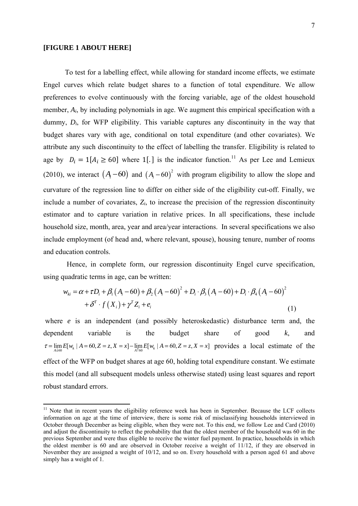#### **[FIGURE 1 ABOUT HERE]**

 $\overline{\phantom{a}}$ 

To test for a labelling effect, while allowing for standard income effects, we estimate Engel curves which relate budget shares to a function of total expenditure. We allow preferences to evolve continuously with the forcing variable, age of the oldest household member, *Ai*, by including polynomials in age. We augment this empirical specification with a dummy, *Di*, for WFP eligibility. This variable captures any discontinuity in the way that budget shares vary with age, conditional on total expenditure (and other covariates). We attribute any such discontinuity to the effect of labelling the transfer. Eligibility is related to age by  $D_i = 1[A_i \ge 60]$  where 1[.] is the indicator function.<sup>11</sup> As per Lee and Lemieux (2010), we interact  $(A_i - 60)$  and  $(A_i - 60)^2$  with program eligibility to allow the slope and curvature of the regression line to differ on either side of the eligibility cut-off. Finally, we include a number of covariates, *Zi*, to increase the precision of the regression discontinuity estimator and to capture variation in relative prices. In all specifications, these include household size, month, area, year and area/year interactions. In several specifications we also include employment (of head and, where relevant, spouse), housing tenure, number of rooms and education controls.

 Hence, in complete form, our regression discontinuity Engel curve specification, using quadratic terms in age, can be written:

$$
w_{ki} = \alpha + \tau D_i + \beta_1 (A_i - 60) + \beta_2 (A_i - 60)^2 + D_i \cdot \beta_3 (A_i - 60) + D_i \cdot \beta_4 (A_i - 60)^2
$$
  
+  $\delta^T \cdot f(X_i) + \gamma^T Z_i + e_i$  (1)

where *e* is an independent (and possibly heteroskedastic) disturbance term and, the dependent variable is the budget share of good *k*, and  $\tau = \lim_{A \downarrow 60} E[w_k | A = 60, Z = z, X = x] - \lim_{A \uparrow 60} E[w_k | A = 60, Z = z, X = x]$  provides a local estimate of the effect of the WFP on budget shares at age 60, holding total expenditure constant. We estimate this model (and all subsequent models unless otherwise stated) using least squares and report robust standard errors.

<sup>&</sup>lt;sup>11</sup> Note that in recent years the eligibility reference week has been in September. Because the LCF collects information on age at the time of interview, there is some risk of misclassifying households interviewed in October through December as being eligible, when they were not. To this end, we follow Lee and Card (2010) and adjust the discontinuity to reflect the probability that that the oldest member of the household was 60 in the previous September and were thus eligible to receive the winter fuel payment. In practice, households in which the oldest member is 60 and are observed in October receive a weight of 11/12, if they are observed in November they are assigned a weight of 10/12, and so on. Every household with a person aged 61 and above simply has a weight of 1.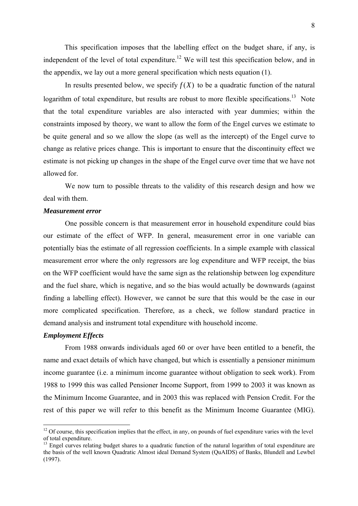This specification imposes that the labelling effect on the budget share, if any, is independent of the level of total expenditure.<sup>12</sup> We will test this specification below, and in the appendix, we lay out a more general specification which nests equation (1).

In results presented below, we specify  $f(X)$  to be a quadratic function of the natural logarithm of total expenditure, but results are robust to more flexible specifications.<sup>13</sup> Note that the total expenditure variables are also interacted with year dummies; within the constraints imposed by theory, we want to allow the form of the Engel curves we estimate to be quite general and so we allow the slope (as well as the intercept) of the Engel curve to change as relative prices change. This is important to ensure that the discontinuity effect we estimate is not picking up changes in the shape of the Engel curve over time that we have not allowed for.

We now turn to possible threats to the validity of this research design and how we deal with them.

#### *Measurement error*

One possible concern is that measurement error in household expenditure could bias our estimate of the effect of WFP. In general, measurement error in one variable can potentially bias the estimate of all regression coefficients. In a simple example with classical measurement error where the only regressors are log expenditure and WFP receipt, the bias on the WFP coefficient would have the same sign as the relationship between log expenditure and the fuel share, which is negative, and so the bias would actually be downwards (against finding a labelling effect). However, we cannot be sure that this would be the case in our more complicated specification. Therefore, as a check, we follow standard practice in demand analysis and instrument total expenditure with household income.

#### *Employment Effects*

 $\overline{\phantom{a}}$ 

From 1988 onwards individuals aged 60 or over have been entitled to a benefit, the name and exact details of which have changed, but which is essentially a pensioner minimum income guarantee (i.e. a minimum income guarantee without obligation to seek work). From 1988 to 1999 this was called Pensioner Income Support, from 1999 to 2003 it was known as the Minimum Income Guarantee, and in 2003 this was replaced with Pension Credit. For the rest of this paper we will refer to this benefit as the Minimum Income Guarantee (MIG).

 $12$  Of course, this specification implies that the effect, in any, on pounds of fuel expenditure varies with the level of total expenditure.

<sup>&</sup>lt;sup>13</sup> Engel curves relating budget shares to a quadratic function of the natural logarithm of total expenditure are the basis of the well known Quadratic Almost ideal Demand System (QuAIDS) of Banks, Blundell and Lewbel (1997).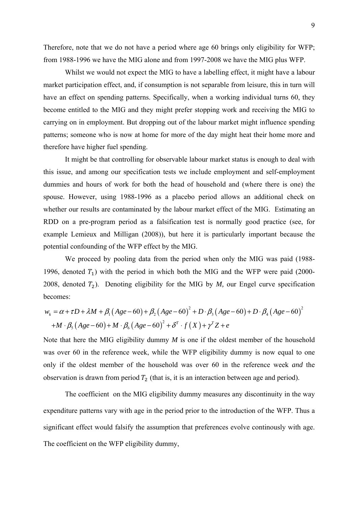Therefore, note that we do not have a period where age 60 brings only eligibility for WFP; from 1988-1996 we have the MIG alone and from 1997-2008 we have the MIG plus WFP.

Whilst we would not expect the MIG to have a labelling effect, it might have a labour market participation effect, and, if consumption is not separable from leisure, this in turn will have an effect on spending patterns. Specifically, when a working individual turns 60, they become entitled to the MIG and they might prefer stopping work and receiving the MIG to carrying on in employment. But dropping out of the labour market might influence spending patterns; someone who is now at home for more of the day might heat their home more and therefore have higher fuel spending.

It might be that controlling for observable labour market status is enough to deal with this issue, and among our specification tests we include employment and self-employment dummies and hours of work for both the head of household and (where there is one) the spouse. However, using 1988-1996 as a placebo period allows an additional check on whether our results are contaminated by the labour market effect of the MIG. Estimating an RDD on a pre-program period as a falsification test is normally good practice (see, for example Lemieux and Milligan (2008)), but here it is particularly important because the potential confounding of the WFP effect by the MIG.

We proceed by pooling data from the period when only the MIG was paid (1988- 1996, denoted  $T_1$ ) with the period in which both the MIG and the WFP were paid (2000-2008, denoted  $T_2$ ). Denoting eligibility for the MIG by *M*, our Engel curve specification becomes:

$$
w_k = \alpha + \tau D + \lambda M + \beta_1 (Age - 60) + \beta_2 (Age - 60)^2 + D \cdot \beta_3 (Age - 60) + D \cdot \beta_4 (Age - 60)^2
$$
  
+
$$
M \cdot \beta_5 (Age - 60) + M \cdot \beta_6 (Age - 60)^2 + \delta^T \cdot f(X) + \gamma^T Z + e
$$

Note that here the MIG eligibility dummy *M* is one if the oldest member of the household was over 60 in the reference week, while the WFP eligibility dummy is now equal to one only if the oldest member of the household was over 60 in the reference week *and* the observation is drawn from period  $T_2$  (that is, it is an interaction between age and period).

 The coefficient on the MIG eligibility dummy measures any discontinuity in the way expenditure patterns vary with age in the period prior to the introduction of the WFP. Thus a significant effect would falsify the assumption that preferences evolve continously with age. The coefficient on the WFP eligibility dummy,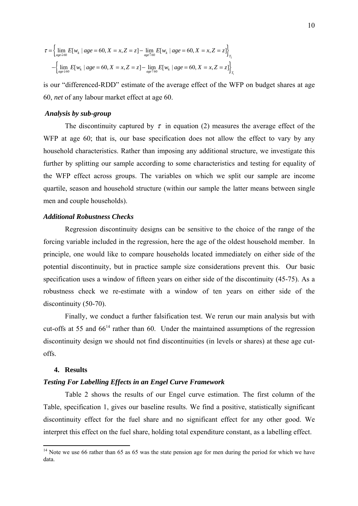$$
\tau = \left\{ \lim_{\substack{age \downarrow 60}} E[w_k \mid age = 60, X = x, Z = z] - \lim_{\substack{age \uparrow 60}} E[w_k \mid age = 60, X = x, Z = z] \right\}_{T_2}
$$

$$
- \left\{ \lim_{\substack{age \downarrow 60}} E[w_k \mid age = 60, X = x, Z = z] - \lim_{\substack{age \uparrow 60}} E[w_k \mid age = 60, X = x, Z = z] \right\}_{T_1}
$$

is our "differenced-RDD" estimate of the average effect of the WFP on budget shares at age 60, *net* of any labour market effect at age 60.

#### *Analysis by sub-group*

The discontinuity captured by  $\tau$  in equation (2) measures the average effect of the WFP at age 60; that is, our base specification does not allow the effect to vary by any household characteristics. Rather than imposing any additional structure, we investigate this further by splitting our sample according to some characteristics and testing for equality of the WFP effect across groups. The variables on which we split our sample are income quartile, season and household structure (within our sample the latter means between single men and couple households).

#### *Additional Robustness Checks*

Regression discontinuity designs can be sensitive to the choice of the range of the forcing variable included in the regression, here the age of the oldest household member. In principle, one would like to compare households located immediately on either side of the potential discontinuity, but in practice sample size considerations prevent this. Our basic specification uses a window of fifteen years on either side of the discontinuity (45-75). As a robustness check we re-estimate with a window of ten years on either side of the discontinuity (50-70).

Finally, we conduct a further falsification test. We rerun our main analysis but with cut-offs at 55 and  $66<sup>14</sup>$  rather than 60. Under the maintained assumptions of the regression discontinuity design we should not find discontinuities (in levels or shares) at these age cutoffs.

#### **4. Results**

 $\overline{\phantom{a}}$ 

#### *Testing For Labelling Effects in an Engel Curve Framework*

Table 2 shows the results of our Engel curve estimation. The first column of the Table, specification 1, gives our baseline results. We find a positive, statistically significant discontinuity effect for the fuel share and no significant effect for any other good. We interpret this effect on the fuel share, holding total expenditure constant, as a labelling effect.

<sup>&</sup>lt;sup>14</sup> Note we use 66 rather than 65 as 65 was the state pension age for men during the period for which we have data.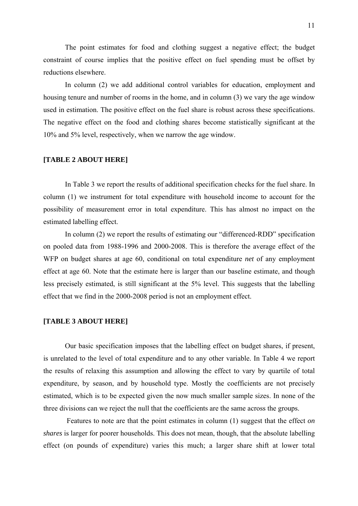The point estimates for food and clothing suggest a negative effect; the budget constraint of course implies that the positive effect on fuel spending must be offset by reductions elsewhere.

In column (2) we add additional control variables for education, employment and housing tenure and number of rooms in the home, and in column (3) we vary the age window used in estimation. The positive effect on the fuel share is robust across these specifications. The negative effect on the food and clothing shares become statistically significant at the 10% and 5% level, respectively, when we narrow the age window.

#### **[TABLE 2 ABOUT HERE]**

In Table 3 we report the results of additional specification checks for the fuel share. In column (1) we instrument for total expenditure with household income to account for the possibility of measurement error in total expenditure. This has almost no impact on the estimated labelling effect.

In column (2) we report the results of estimating our "differenced-RDD" specification on pooled data from 1988-1996 and 2000-2008. This is therefore the average effect of the WFP on budget shares at age 60, conditional on total expenditure *net* of any employment effect at age 60. Note that the estimate here is larger than our baseline estimate, and though less precisely estimated, is still significant at the 5% level. This suggests that the labelling effect that we find in the 2000-2008 period is not an employment effect.

### **[TABLE 3 ABOUT HERE]**

Our basic specification imposes that the labelling effect on budget shares, if present, is unrelated to the level of total expenditure and to any other variable. In Table 4 we report the results of relaxing this assumption and allowing the effect to vary by quartile of total expenditure, by season, and by household type. Mostly the coefficients are not precisely estimated, which is to be expected given the now much smaller sample sizes. In none of the three divisions can we reject the null that the coefficients are the same across the groups.

 Features to note are that the point estimates in column (1) suggest that the effect *on shares* is larger for poorer households. This does not mean, though, that the absolute labelling effect (on pounds of expenditure) varies this much; a larger share shift at lower total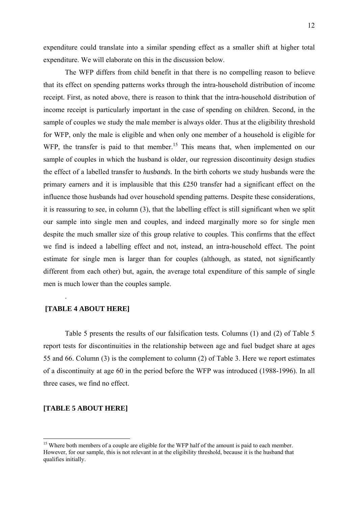expenditure could translate into a similar spending effect as a smaller shift at higher total expenditure. We will elaborate on this in the discussion below.

The WFP differs from child benefit in that there is no compelling reason to believe that its effect on spending patterns works through the intra-household distribution of income receipt. First, as noted above, there is reason to think that the intra-household distribution of income receipt is particularly important in the case of spending on children. Second, in the sample of couples we study the male member is always older. Thus at the eligibility threshold for WFP, only the male is eligible and when only one member of a household is eligible for WFP, the transfer is paid to that member.<sup>15</sup> This means that, when implemented on our sample of couples in which the husband is older, our regression discontinuity design studies the effect of a labelled transfer to *husbands*. In the birth cohorts we study husbands were the primary earners and it is implausible that this £250 transfer had a significant effect on the influence those husbands had over household spending patterns. Despite these considerations, it is reassuring to see, in column (3), that the labelling effect is still significant when we split our sample into single men and couples, and indeed marginally more so for single men despite the much smaller size of this group relative to couples. This confirms that the effect we find is indeed a labelling effect and not, instead, an intra-household effect. The point estimate for single men is larger than for couples (although, as stated, not significantly different from each other) but, again, the average total expenditure of this sample of single men is much lower than the couples sample.

#### **[TABLE 4 ABOUT HERE]**

.

Table 5 presents the results of our falsification tests. Columns (1) and (2) of Table 5 report tests for discontinuities in the relationship between age and fuel budget share at ages 55 and 66. Column (3) is the complement to column (2) of Table 3. Here we report estimates of a discontinuity at age 60 in the period before the WFP was introduced (1988-1996). In all three cases, we find no effect.

#### **[TABLE 5 ABOUT HERE]**

 $\overline{a}$ 

<sup>&</sup>lt;sup>15</sup> Where both members of a couple are eligible for the WFP half of the amount is paid to each member. However, for our sample, this is not relevant in at the eligibility threshold, because it is the husband that qualifies initially.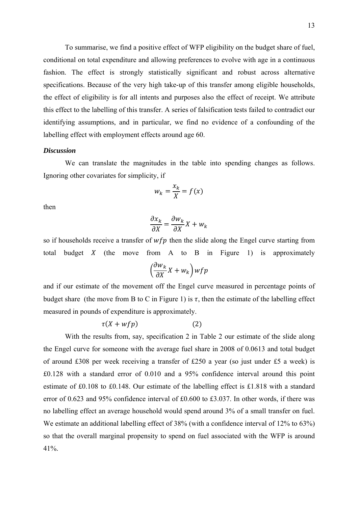To summarise, we find a positive effect of WFP eligibility on the budget share of fuel, conditional on total expenditure and allowing preferences to evolve with age in a continuous fashion. The effect is strongly statistically significant and robust across alternative specifications. Because of the very high take-up of this transfer among eligible households, the effect of eligibility is for all intents and purposes also the effect of receipt. We attribute this effect to the labelling of this transfer. A series of falsification tests failed to contradict our identifying assumptions, and in particular, we find no evidence of a confounding of the labelling effect with employment effects around age 60.

### *Discussion*

We can translate the magnitudes in the table into spending changes as follows. Ignoring other covariates for simplicity, if

$$
w_k = \frac{x_k}{X} = f(x)
$$

then

$$
\frac{\partial x_k}{\partial X} = \frac{\partial w_k}{\partial X} X + w_k
$$

so if households receive a transfer of  $wfp$  then the slide along the Engel curve starting from total budget  $X$  (the move from A to B in Figure 1) is approximately

$$
\left(\frac{\partial w_k}{\partial X}X + w_k\right) wfp
$$

and if our estimate of the movement off the Engel curve measured in percentage points of budget share (the move from B to C in Figure 1) is  $\tau$ , then the estimate of the labelling effect measured in pounds of expenditure is approximately.

$$
\tau(X + wfp) \tag{2}
$$

With the results from, say, specification 2 in Table 2 our estimate of the slide along the Engel curve for someone with the average fuel share in 2008 of 0.0613 and total budget of around £308 per week receiving a transfer of £250 a year (so just under £5 a week) is £0.128 with a standard error of 0.010 and a 95% confidence interval around this point estimate of £0.108 to £0.148. Our estimate of the labelling effect is £1.818 with a standard error of 0.623 and 95% confidence interval of £0.600 to £3.037. In other words, if there was no labelling effect an average household would spend around 3% of a small transfer on fuel. We estimate an additional labelling effect of 38% (with a confidence interval of 12% to 63%) so that the overall marginal propensity to spend on fuel associated with the WFP is around 41%.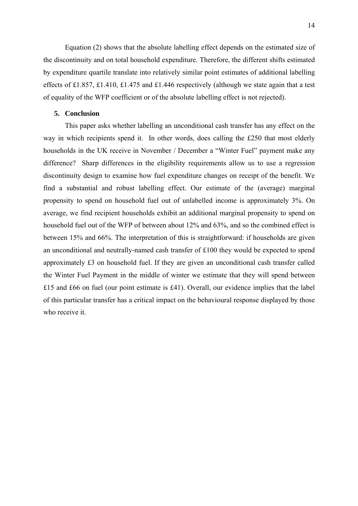Equation (2) shows that the absolute labelling effect depends on the estimated size of the discontinuity and on total household expenditure. Therefore, the different shifts estimated by expenditure quartile translate into relatively similar point estimates of additional labelling effects of £1.857, £1.410, £1.475 and £1.446 respectively (although we state again that a test of equality of the WFP coefficient or of the absolute labelling effect is not rejected).

#### **5. Conclusion**

This paper asks whether labelling an unconditional cash transfer has any effect on the way in which recipients spend it. In other words, does calling the £250 that most elderly households in the UK receive in November / December a "Winter Fuel" payment make any difference? Sharp differences in the eligibility requirements allow us to use a regression discontinuity design to examine how fuel expenditure changes on receipt of the benefit. We find a substantial and robust labelling effect. Our estimate of the (average) marginal propensity to spend on household fuel out of unlabelled income is approximately 3%. On average, we find recipient households exhibit an additional marginal propensity to spend on household fuel out of the WFP of between about 12% and 63%, and so the combined effect is between 15% and 66%. The interpretation of this is straightforward: if households are given an unconditional and neutrally-named cash transfer of £100 they would be expected to spend approximately £3 on household fuel. If they are given an unconditional cash transfer called the Winter Fuel Payment in the middle of winter we estimate that they will spend between £15 and £66 on fuel (our point estimate is £41). Overall, our evidence implies that the label of this particular transfer has a critical impact on the behavioural response displayed by those who receive it.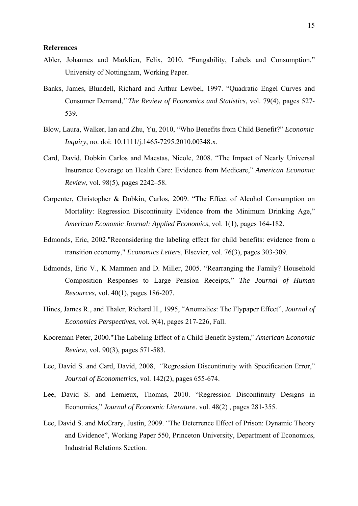#### **References**

- Abler, Johannes and Marklien, Felix, 2010. "Fungability, Labels and Consumption." University of Nottingham, Working Paper.
- Banks, James, Blundell, Richard and Arthur Lewbel, 1997. "Quadratic Engel Curves and Consumer Demand,''*The Review of Economics and Statistics*, vol. 79(4), pages 527- 539.
- Blow, Laura, Walker, Ian and Zhu, Yu, 2010, "Who Benefits from Child Benefit?" *Economic Inquiry*, no. doi: 10.1111/j.1465-7295.2010.00348.x.
- Card, David, Dobkin Carlos and Maestas, Nicole, 2008. "The Impact of Nearly Universal Insurance Coverage on Health Care: Evidence from Medicare," *American Economic Review*, vol. 98(5), pages 2242–58.
- Carpenter, Christopher & Dobkin, Carlos, 2009. "The Effect of Alcohol Consumption on Mortality: Regression Discontinuity Evidence from the Minimum Drinking Age," *American Economic Journal: Applied Economics*, vol. 1(1), pages 164-182.
- Edmonds, Eric, 2002."Reconsidering the labeling effect for child benefits: evidence from a transition economy," *Economics Letters*, Elsevier, vol. 76(3), pages 303-309.
- Edmonds, Eric V., K Mammen and D. Miller, 2005. "Rearranging the Family? Household Composition Responses to Large Pension Receipts," *The Journal of Human Resources,* vol. 40(1), pages 186-207.
- Hines, James R., and Thaler, Richard H., 1995, "Anomalies: The Flypaper Effect", *Journal of Economics Perspectives*, vol. 9(4), pages 217-226, Fall.
- Kooreman Peter, 2000."The Labeling Effect of a Child Benefit System," *American Economic Review*, vol. 90(3), pages 571-583.
- Lee, David S. and Card, David, 2008, "Regression Discontinuity with Specification Error," *Journal of Econometrics*, vol. 142(2), pages 655-674.
- Lee, David S. and Lemieux, Thomas, 2010. "Regression Discontinuity Designs in Economics," *Journal of Economic Literature*. vol. 48(2) , pages 281-355.
- Lee, David S. and McCrary, Justin, 2009. "The Deterrence Effect of Prison: Dynamic Theory and Evidence", Working Paper 550, Princeton University, Department of Economics, Industrial Relations Section.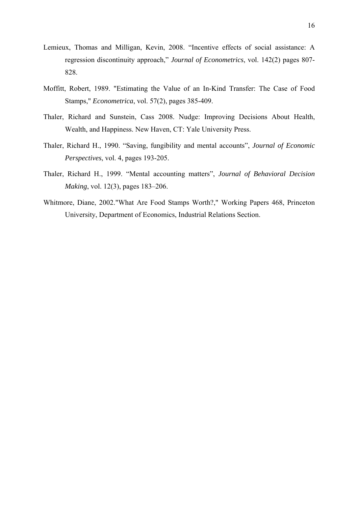- Lemieux, Thomas and Milligan, Kevin, 2008. "Incentive effects of social assistance: A regression discontinuity approach," *Journal of Econometrics*, vol. 142(2) pages 807- 828.
- Moffitt, Robert, 1989. "Estimating the Value of an In-Kind Transfer: The Case of Food Stamps," *Econometrica*, vol. 57(2), pages 385-409.
- Thaler, Richard and Sunstein, Cass 2008. Nudge: Improving Decisions About Health, Wealth, and Happiness. New Haven, CT: Yale University Press.
- Thaler, Richard H., 1990. "Saving, fungibility and mental accounts", *Journal of Economic Perspectives*, vol. 4, pages 193-205.
- Thaler, Richard H., 1999. "Mental accounting matters", *Journal of Behavioral Decision Making*, vol. 12(3), pages 183–206.
- Whitmore, Diane, 2002."What Are Food Stamps Worth?," Working Papers 468, Princeton University, Department of Economics, Industrial Relations Section.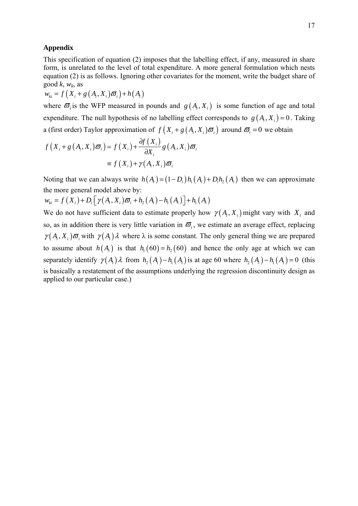#### **Appendix**

This specification of equation (2) imposes that the labelling effect, if any, measured in share form, is unrelated to the level of total expenditure. A more general formulation which nests equation (2) is as follows. Ignoring other covariates for the moment, write the budget share of good  $k$ ,  $w_k$ , as

 $w_{ki} = f(X_i + g(A_i, X_i) \bar{\omega}_i) + h(A_i)$ 

where  $\sigma_i$  is the WFP measured in pounds and  $g(A_i, X_i)$  is some function of age and total expenditure. The null hypothesis of no labelling effect corresponds to  $g(A_i, X_i) = 0$ . Taking a (first order) Taylor approximation of  $f(X_i + g(A_i, X_i)\boldsymbol{\varpi}_i)$  around  $\boldsymbol{\varpi}_i = 0$  we obtain

$$
f(X_i + g(A_i, X_i)\boldsymbol{\varpi}_i) \approx f(X_i) + \frac{\partial f(X_i)}{\partial X_i} g(A_i, X_i)\boldsymbol{\varpi}_i
$$

$$
\equiv f(X_i) + \gamma(A_i, X_i)\boldsymbol{\varpi}_i
$$

Noting that we can always write  $h(A_i) = (1 - D_i)h_1(A_i) + D_ih_2(A_i)$  then we can approximate the more general model above by:

$$
w_{ki} = f(X_i) + D_i \big[ \gamma(A_i, X_i) \overline{\omega}_i + h_2(A_i) - h_1(A_i) \big] + h_1(A_i)
$$

We do not have sufficient data to estimate properly how  $\gamma(A_i, X_i)$  might vary with  $X_i$  and so, as in addition there is very little variation in  $\overline{\omega}_i$ , we estimate an average effect, replacing  $\gamma(A_i, X_i)$   $\bar{\sigma}_i$  with  $\gamma(A_i)$   $\lambda$  where  $\lambda$  is some constant. The only general thing we are prepared to assume about  $h(A_i)$  is that  $h_1(60) = h_2(60)$  and hence the only age at which we can separately identify  $\gamma(A_i) \lambda$  from  $h_2(A_i) - h_1(A_i)$  is at age 60 where  $h_2(A_i) - h_1(A_i) = 0$  (this is basically a restatement of the assumptions underlying the regression discontinuity design as applied to our particular case.)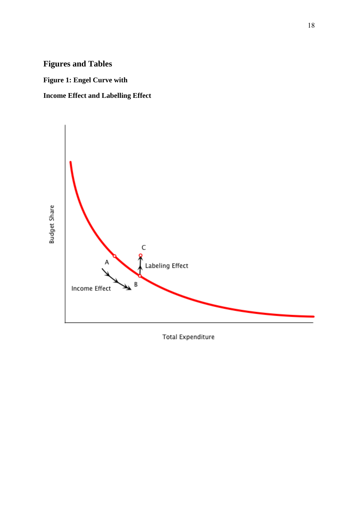# **Figures and Tables**

**Figure 1: Engel Curve with** 

# **Income Effect and Labelling Effect**



**Total Expenditure**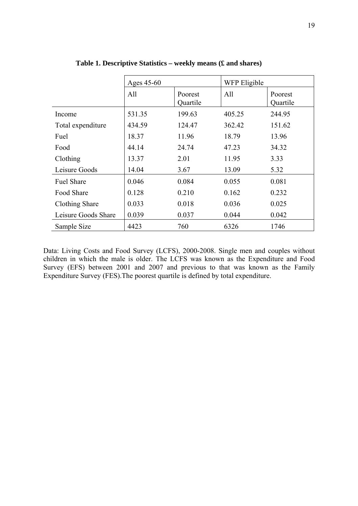|                     | Ages 45-60 |                     | WFP Eligible |                     |
|---------------------|------------|---------------------|--------------|---------------------|
|                     | All        | Poorest<br>Quartile | All          | Poorest<br>Quartile |
| Income              | 531.35     | 199.63              | 405.25       | 244.95              |
| Total expenditure   | 434.59     | 124.47              | 362.42       | 151.62              |
| Fuel                | 18.37      | 11.96               | 18.79        | 13.96               |
| Food                | 44.14      | 24.74               | 47.23        | 34.32               |
| Clothing            | 13.37      | 2.01                | 11.95        | 3.33                |
| Leisure Goods       | 14.04      | 3.67                | 13.09        | 5.32                |
| <b>Fuel Share</b>   | 0.046      | 0.084               | 0.055        | 0.081               |
| Food Share          | 0.128      | 0.210               | 0.162        | 0.232               |
| Clothing Share      | 0.033      | 0.018               | 0.036        | 0.025               |
| Leisure Goods Share | 0.039      | 0.037               | 0.044        | 0.042               |
| Sample Size         | 4423       | 760                 | 6326         | 1746                |

**Table 1. Descriptive Statistics – weekly means (£ and shares)** 

Data: Living Costs and Food Survey (LCFS), 2000-2008. Single men and couples without children in which the male is older. The LCFS was known as the Expenditure and Food Survey (EFS) between 2001 and 2007 and previous to that was known as the Family Expenditure Survey (FES).The poorest quartile is defined by total expenditure.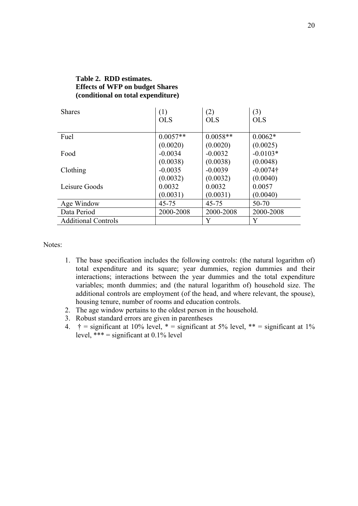# **Table 2. RDD estimates. Effects of WFP on budget Shares (conditional on total expenditure)**

| <b>Shares</b>              | (1)        | (2)        | (3)         |
|----------------------------|------------|------------|-------------|
|                            | <b>OLS</b> | <b>OLS</b> | <b>OLS</b>  |
|                            |            |            |             |
| Fuel                       | $0.0057**$ | $0.0058**$ | $0.0062*$   |
|                            | (0.0020)   | (0.0020)   | (0.0025)    |
| Food                       | $-0.0034$  | $-0.0032$  | $-0.0103*$  |
|                            | (0.0038)   | (0.0038)   | (0.0048)    |
| Clothing                   | $-0.0035$  | $-0.0039$  | $-0.0074$ † |
|                            | (0.0032)   | (0.0032)   | (0.0040)    |
| Leisure Goods              | 0.0032     | 0.0032     | 0.0057      |
|                            | (0.0031)   | (0.0031)   | (0.0040)    |
| Age Window                 | 45-75      | $45 - 75$  | 50-70       |
| Data Period                | 2000-2008  | 2000-2008  | 2000-2008   |
| <b>Additional Controls</b> |            | Y          | Y           |

- 1. The base specification includes the following controls: (the natural logarithm of) total expenditure and its square; year dummies, region dummies and their interactions; interactions between the year dummies and the total expenditure variables; month dummies; and (the natural logarithm of) household size. The additional controls are employment (of the head, and where relevant, the spouse), housing tenure, number of rooms and education controls.
- 2. The age window pertains to the oldest person in the household.
- 3. Robust standard errors are given in parentheses
- 4.  $\dagger$  = significant at 10% level,  $*$  = significant at 5% level,  $**$  = significant at 1% level,  $*** =$  significant at 0.1% level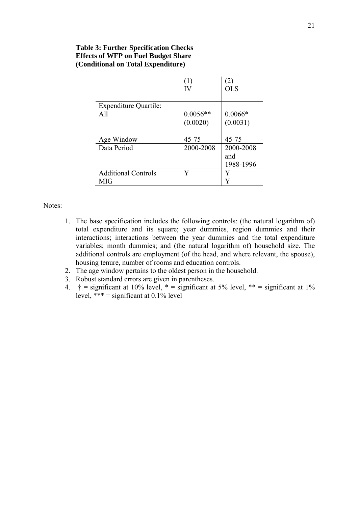# **Table 3: Further Specification Checks Effects of WFP on Fuel Budget Share (Conditional on Total Expenditure)**

|                                     | П                 | <b>OLS</b>                    |
|-------------------------------------|-------------------|-------------------------------|
| <b>Expenditure Quartile:</b><br>All | $0.0056**$        | $0.0066*$                     |
| Age Window                          | (0.0020)<br>45-75 | (0.0031)<br>$45 - 75$         |
| Data Period                         | 2000-2008         | 2000-2008<br>and<br>1988-1996 |
| <b>Additional Controls</b><br>MIG   | Y                 | Y<br>Y                        |

 $\mathcal{L}_{\mathcal{A}}$ 

- 1. The base specification includes the following controls: (the natural logarithm of) total expenditure and its square; year dummies, region dummies and their interactions; interactions between the year dummies and the total expenditure variables; month dummies; and (the natural logarithm of) household size. The additional controls are employment (of the head, and where relevant, the spouse), housing tenure, number of rooms and education controls.
- 2. The age window pertains to the oldest person in the household.
- 3. Robust standard errors are given in parentheses.
- 4.  $\dagger$  = significant at 10% level,  $*$  = significant at 5% level,  $**$  = significant at 1% level,  $*** =$  significant at 0.1% level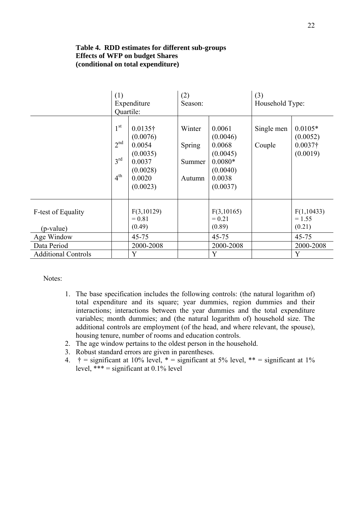## **Table 4. RDD estimates for different sub-groups Effects of WFP on budget Shares (conditional on total expenditure)**

|                                 | (1)<br>Quartile:                                                         | Expenditure                                                                                   | (2)<br>Season:                       |                                                                                         | (3)<br>Household Type: |                                                      |
|---------------------------------|--------------------------------------------------------------------------|-----------------------------------------------------------------------------------------------|--------------------------------------|-----------------------------------------------------------------------------------------|------------------------|------------------------------------------------------|
|                                 | 1 <sup>st</sup><br>2 <sup>nd</sup><br>$3^{\text{rd}}$<br>4 <sup>th</sup> | $0.0135\dagger$<br>(0.0076)<br>0.0054<br>(0.0035)<br>0.0037<br>(0.0028)<br>0.0020<br>(0.0023) | Winter<br>Spring<br>Summer<br>Autumn | 0.0061<br>(0.0046)<br>0.0068<br>(0.0045)<br>$0.0080*$<br>(0.0040)<br>0.0038<br>(0.0037) | Single men<br>Couple   | $0.0105*$<br>(0.0052)<br>$0.0037\dagger$<br>(0.0019) |
| F-test of Equality<br>(p-value) |                                                                          | F(3,10129)<br>$= 0.81$<br>(0.49)                                                              |                                      | F(3,10165)<br>$= 0.21$<br>(0.89)                                                        |                        | F(1,10433)<br>$= 1.55$<br>(0.21)                     |
| Age Window                      |                                                                          | $45 - 75$                                                                                     |                                      | $45 - 75$                                                                               |                        | $45 - 75$                                            |
| Data Period                     |                                                                          | 2000-2008                                                                                     |                                      | 2000-2008                                                                               |                        | 2000-2008                                            |
| <b>Additional Controls</b>      |                                                                          | Y                                                                                             |                                      | Y                                                                                       |                        | Y                                                    |

- 1. The base specification includes the following controls: (the natural logarithm of) total expenditure and its square; year dummies, region dummies and their interactions; interactions between the year dummies and the total expenditure variables; month dummies; and (the natural logarithm of) household size. The additional controls are employment (of the head, and where relevant, the spouse), housing tenure, number of rooms and education controls.
- 2. The age window pertains to the oldest person in the household.
- 3. Robust standard errors are given in parentheses.
- 4.  $\dagger$  = significant at 10% level,  $*$  = significant at 5% level,  $**$  = significant at 1% level,  $*** =$  significant at 0.1% level